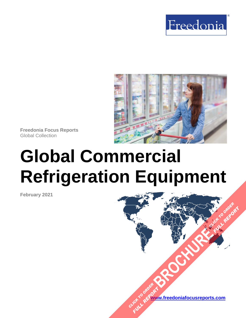



**Freedonia Focus Reports** Global Collection

# **Global Commercial Refrigeration Equipment**

**February 2021**

**[www.freedoniafocusreports.com](https://www.freedoniafocusreports.com/redirect.asp?progid=89534&url=/)** CLICK TO ORDER **FULL REPORT** 

**[BROCHURE](https://www.freedoniafocusreports.com/Global-Commercial-Refrigeration-Equipment-FW75012/?progid=89541) CLICK TO ORDER** 

**FULL REPORT**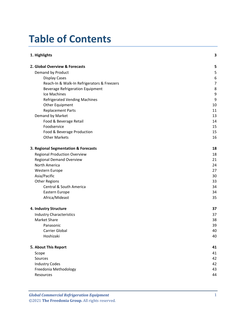# **Table of Contents**

| 1. Highlights                               | 3              |
|---------------------------------------------|----------------|
| 2. Global Overview & Forecasts              | 5              |
| Demand by Product                           | 5              |
| <b>Display Cases</b>                        | 6              |
| Reach-In & Walk-In Refrigerators & Freezers | $\overline{7}$ |
| <b>Beverage Refrigeration Equipment</b>     | 8              |
| Ice Machines                                | 9              |
| <b>Refrigerated Vending Machines</b>        | 9              |
| Other Equipment                             | 10             |
| <b>Replacement Parts</b>                    | 11             |
| Demand by Market                            | 13             |
| Food & Beverage Retail                      | 14             |
| Foodservice                                 | 15             |
| Food & Beverage Production                  | 15             |
| <b>Other Markets</b>                        | 16             |
| 3. Regional Segmentation & Forecasts        | 18             |
| <b>Regional Production Overview</b>         | 18             |
| <b>Regional Demand Overview</b>             | 21             |
| North America                               | 24             |
| Western Europe                              | 27             |
| Asia/Pacific                                | 30             |
| <b>Other Regions</b>                        | 33             |
| Central & South America                     | 34             |
| Eastern Europe                              | 34             |
| Africa/Mideast                              | 35             |
| 4. Industry Structure                       | 37             |
| <b>Industry Characteristics</b>             | 37             |
| Market Share                                | 38             |
| Panasonic                                   | 39             |
| <b>Carrier Global</b>                       | 40             |
| Hoshizaki                                   | 40             |
| 5. About This Report                        | 41             |
| Scope                                       | 41             |
| Sources                                     | 42             |
| <b>Industry Codes</b>                       | 42             |
| Freedonia Methodology                       | 43             |
| Resources                                   | 44             |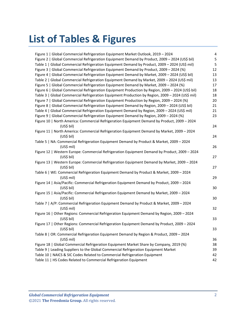# **List of Tables & Figures**

| Figure 1   Global Commercial Refrigeration Equipment Market Outlook, 2019 - 2024                  | 4  |
|---------------------------------------------------------------------------------------------------|----|
| Figure 2   Global Commercial Refrigeration Equipment Demand by Product, 2009 - 2024 (US\$ bil)    | 5  |
| Table 1   Global Commercial Refrigeration Equipment Demand by Product, 2009 - 2024 (US\$ mil)     | 5  |
| Figure 3   Global Commercial Refrigeration Equipment Demand by Product, 2009 - 2024 (%)           | 12 |
| Figure 4   Global Commercial Refrigeration Equipment Demand by Market, 2009 - 2024 (US\$ bil)     | 13 |
| Table 2   Global Commercial Refrigeration Equipment Demand by Market, 2009 - 2024 (US\$ mil)      | 13 |
| Figure 5   Global Commercial Refrigeration Equipment Demand by Market, 2009 - 2024 (%)            | 17 |
| Figure 6   Global Commercial Refrigeration Equipment Production by Region, 2009 - 2024 (US\$ bil) | 18 |
| Table 3   Global Commercial Refrigeration Equipment Production by Region, 2009 - 2024 (US\$ mil)  | 18 |
| Figure 7   Global Commercial Refrigeration Equipment Production by Region, 2009 - 2024 (%)        | 20 |
| Figure 8   Global Commercial Refrigeration Equipment Demand by Region, 2009 - 2024 (US\$ bil)     | 21 |
| Table 4   Global Commercial Refrigeration Equipment Demand by Region, 2009 - 2024 (US\$ mil)      | 21 |
| Figure 9   Global Commercial Refrigeration Equipment Demand by Region, 2009 - 2024 (%)            | 23 |
| Figure 10   North America: Commercial Refrigeration Equipment Demand by Product, 2009 - 2024      |    |
| (US\$ bil)                                                                                        | 24 |
| Figure 11   North America: Commercial Refrigeration Equipment Demand by Market, 2009 - 2024       |    |
| (US\$ bil)                                                                                        | 24 |
| Table 5   NA: Commercial Refrigeration Equipment Demand by Product & Market, 2009 - 2024          |    |
| (US\$ mil)                                                                                        | 26 |
| Figure 12   Western Europe: Commercial Refrigeration Equipment Demand by Product, 2009 - 2024     |    |
| (US\$ bil)                                                                                        | 27 |
| Figure 13   Western Europe: Commercial Refrigeration Equipment Demand by Market, 2009 - 2024      |    |
| (US\$ bil)                                                                                        | 27 |
| Table 6   WE: Commercial Refrigeration Equipment Demand by Product & Market, 2009 - 2024          |    |
| $(US$)$ mil)                                                                                      | 29 |
| Figure 14   Asia/Pacific: Commercial Refrigeration Equipment Demand by Product, 2009 - 2024       |    |
| (US\$ bil)                                                                                        | 30 |
| Figure 15   Asia/Pacific: Commercial Refrigeration Equipment Demand by Market, 2009 - 2024        |    |
| (US\$ bil)                                                                                        | 30 |
| Table 7   A/P: Commercial Refrigeration Equipment Demand by Product & Market, 2009 - 2024         |    |
| $(US$)$ mil)                                                                                      | 32 |
| Figure 16   Other Regions: Commercial Refrigeration Equipment Demand by Region, 2009 - 2024       |    |
| (US\$ bil)                                                                                        | 33 |
| Figure 17   Other Regions: Commercial Refrigeration Equipment Demand by Product, 2009 - 2024      |    |
| (US\$ bil)                                                                                        | 33 |
| Table 8   OR: Commercial Refrigeration Equipment Demand by Region & Product, 2009 - 2024          |    |
| $(US$)$ mil)                                                                                      | 36 |
| Figure 18   Global Commercial Refrigeration Equipment Market Share by Company, 2019 (%)           | 38 |
| Table 9   Leading Suppliers to the Global Commercial Refrigeration Equipment Market               | 39 |
| Table 10   NAICS & SIC Codes Related to Commercial Refrigeration Equipment                        | 42 |
| Table 11   HS Codes Related to Commercial Refrigeration Equipment                                 | 42 |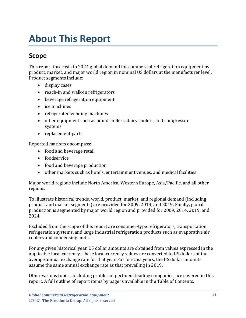# <span id="page-3-0"></span>**About This Report**

# <span id="page-3-1"></span>**Scope**

This report forecasts to 2024 global demand for commercial refrigeration equipment by product, market, and major world region in nominal US dollars at the manufacturer level. Product segments include:

- display cases
- reach-in and walk-in refrigerators
- beverage refrigeration equipment
- ice machines
- refrigerated vending machines
- other equipment such as liquid chillers, dairy coolers, and compressor systems
- replacement parts

Reported markets encompass:

- food and beverage retail
- foodservice
- food and beverage production
- other markets such as hotels, entertainment venues, and medical facilities

Major world regions include North America, Western Europe, Asia/Pacific, and all other regions.

To illustrate historical trends, world, product, market, and regional demand (including product and market segments) are provided for 2009, 2014, and 2019. Finally, global production is segmented by major world region and provided for 2009, 2014, 2019, and 2024.

Excluded from the scope of this report are consumer-type refrigerators, transportation refrigeration systems, and large industrial refrigeration products such as evaporative air coolers and condensing units.

For any given historical year, US dollar amounts are obtained from values expressed in the applicable local currency. These local currency values are converted to US dollars at the average annual exchange rate for that year. For forecast years, the US dollar amounts assume the same annual exchange rate as that prevailing in 2019.

Other various topics, including profiles of pertinent leading companies, are covered in this report. A full outline of report items by page is available in the Table of Contents.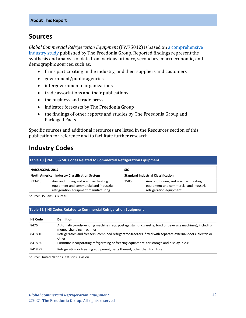## <span id="page-4-0"></span>**Sources**

*Global Commercial Refrigeration Equipment* (FW75012) is based on [a comprehensive](http://www.freedoniagroup.com/DocumentDetails.aspx?ReferrerId=FL-FOCUS&studyid=3967)  [industry study](http://www.freedoniagroup.com/DocumentDetails.aspx?ReferrerId=FL-FOCUS&studyid=3967) published by The Freedonia Group. Reported findings represent the synthesis and analysis of data from various primary, secondary, macroeconomic, and demographic sources, such as:

- firms participating in the industry, and their suppliers and customers
- government/public agencies
- intergovernmental organizations
- trade associations and their publications
- the business and trade press
- indicator forecasts by The Freedonia Group
- the findings of other reports and studies by The Freedonia Group and Packaged Facts

Specific sources and additional resources are listed in the Resources section of this publication for reference and to facilitate further research.

# <span id="page-4-1"></span>**Industry Codes**

<span id="page-4-2"></span>

| Table 10   NAICS & SIC Codes Related to Commercial Refrigeration Equipment |                                                                                                                           |            |                                                                                                             |  |
|----------------------------------------------------------------------------|---------------------------------------------------------------------------------------------------------------------------|------------|-------------------------------------------------------------------------------------------------------------|--|
| <b>NAICS/SCIAN 2017</b>                                                    |                                                                                                                           | <b>SIC</b> |                                                                                                             |  |
|                                                                            | North American Industry Classification System                                                                             |            | <b>Standard Industrial Classification</b>                                                                   |  |
| 333415                                                                     | Air-conditioning and warm air heating<br>equipment and commercial and industrial<br>refrigeration equipment manufacturing | 3585       | Air-conditioning and warm air heating<br>equipment and commercial and industrial<br>refrigeration equipment |  |

Source: US Census Bureau

#### <span id="page-4-3"></span>**Table 11 | HS Codes Related to Commercial Refrigeration Equipment**

| <b>HS Code</b> | <b>Definition</b>                                                                                                                 |
|----------------|-----------------------------------------------------------------------------------------------------------------------------------|
| 8476           | Automatic goods-vending machines (e.g. postage stamp, cigarette, food or beverage machines), including<br>money-changing machines |
| 8418.10        | Refrigerators and freezers; combined refrigerator-freezers, fitted with separate external doors, electric or<br>other             |
| 8418.50        | Furniture incorporating refrigerating or freezing equipment; for storage and display, n.e.c.                                      |
| 8418.99        | Refrigerating or freezing equipment; parts thereof, other than furniture                                                          |

Source: United Nations Statistics Division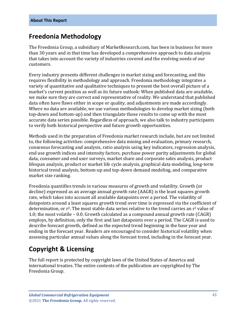# <span id="page-5-0"></span>**Freedonia Methodology**

The Freedonia Group, a subsidiary of MarketResearch.com, has been in business for more than 30 years and in that time has developed a comprehensive approach to data analysis that takes into account the variety of industries covered and the evolving needs of our customers.

Every industry presents different challenges in market sizing and forecasting, and this requires flexibility in methodology and approach. Freedonia methodology integrates a variety of quantitative and qualitative techniques to present the best overall picture of a market's current position as well as its future outlook: When published data are available, we make sure they are correct and representative of reality. We understand that published data often have flaws either in scope or quality, and adjustments are made accordingly. Where no data are available, we use various methodologies to develop market sizing (both top-down and bottom-up) and then triangulate those results to come up with the most accurate data series possible. Regardless of approach, we also talk to industry participants to verify both historical perspective and future growth opportunities.

Methods used in the preparation of Freedonia market research include, but are not limited to, the following activities: comprehensive data mining and evaluation, primary research, consensus forecasting and analysis, ratio analysis using key indicators, regression analysis, end use growth indices and intensity factors, purchase power parity adjustments for global data, consumer and end user surveys, market share and corporate sales analysis, product lifespan analysis, product or market life cycle analysis, graphical data modeling, long-term historical trend analysis, bottom-up and top-down demand modeling, and comparative market size ranking.

Freedonia quantifies trends in various measures of growth and volatility. Growth (or decline) expressed as an average annual growth rate (AAGR) is the least squares growth rate, which takes into account all available datapoints over a period. The volatility of datapoints around a least squares growth trend over time is expressed via the coefficient of determination, or  $r^2$ . The most stable data series relative to the trend carries an  $r^2$  value of 1.0; the most volatile – 0.0. Growth calculated as a compound annual growth rate (CAGR) employs, by definition, only the first and last datapoints over a period. The CAGR is used to describe forecast growth, defined as the expected trend beginning in the base year and ending in the forecast year. Readers are encouraged to consider historical volatility when assessing particular annual values along the forecast trend, including in the forecast year.

# **Copyright & Licensing**

The full report is protected by copyright laws of the United States of America and international treaties. The entire contents of the publication are copyrighted by The Freedonia Group.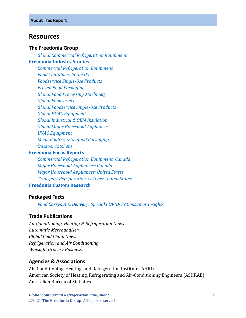## <span id="page-6-0"></span>**Resources**

#### **The Freedonia Group**

*[Global Commercial Refrigeration Equipment](http://www.freedoniagroup.com/DocumentDetails.aspx?ReferrerId=FL-FOCUS&studyid=3967)* **[Freedonia Industry Studies](http://www.freedoniagroup.com/Home.aspx?ReferrerId=FL-Focus)**

*[Commercial Refrigeration Equipment](https://www.freedoniagroup.com/DocumentDetails.aspx?ReferrerId=FL-FOCUS&StudyId=3831) [Food Containers in the US](https://www.freedoniagroup.com/DocumentDetails.aspx?ReferrerId=FL-FOCUS&StudyId=3609) [Foodservice Single-Use Products](https://www.freedoniagroup.com/DocumentDetails.aspx?ReferrerId=FL-FOCUS&StudyId=3774) [Frozen Food Packaging](https://www.freedoniagroup.com/DocumentDetails.aspx?ReferrerId=FL-FOCUS&StudyId=3966) [Global Food Processing Machinery](https://www.freedoniagroup.com/DocumentDetails.aspx?ReferrerId=FL-FOCUS&StudyId=3809) [Global Foodservice](https://www.freedoniagroup.com/DocumentDetails.aspx?ReferrerId=FL-FOCUS&StudyId=3817) [Global Foodservice Single-Use Products](https://www.freedoniagroup.com/DocumentDetails.aspx?ReferrerId=FL-FOCUS&StudyId=3829) [Global HVAC Equipment](https://www.freedoniagroup.com/DocumentDetails.aspx?ReferrerId=FL-FOCUS&StudyId=3652) [Global Industrial & OEM Insulation](https://www.freedoniagroup.com/DocumentDetails.aspx?ReferrerId=FL-FOCUS&StudyId=3783) [Global Major Household Appliances](https://www.freedoniagroup.com/DocumentDetails.aspx?ReferrerId=FL-FOCUS&StudyId=3739) [HVAC Equipment](https://www.freedoniagroup.com/DocumentDetails.aspx?ReferrerId=FL-FOCUS&StudyId=3730) [Meat, Poultry, & Seafood Packaging](https://www.freedoniagroup.com/DocumentDetails.aspx?ReferrerId=FL-FOCUS&StudyId=3787) [Outdoor Kitchens](https://www.freedoniagroup.com/DocumentDetails.aspx?ReferrerId=FL-FOCUS&StudyId=3821)*

#### **[Freedonia Focus Reports](https://www.freedoniafocusreports.com/redirect.asp?progid=89534&url=/)**

*[Commercial Refrigeration Equipment: Canada](https://www.freedoniafocusreports.com/Commercial-Refrigeration-Equipment-Canada-FA75012/?progid=89534) [Major Household Appliances: Canada](https://www.freedoniafocusreports.com/Major-Household-Appliances-Canada-FA90017/?progid=89534) [Major Household Appliances: United States](https://www.freedoniafocusreports.com/Major-Household-Appliances-United-States-FF90017/?progid=89534) [Transport Refrigeration Systems: United States](https://www.freedoniafocusreports.com/Transport-Refrigeration-Systems-United-States-FF85034/?progid=89534)* **[Freedonia Custom Research](http://www.freedoniagroup.com/CustomResearch.aspx?ReferrerId=FL-Focus)**

## **Packaged Facts**

*[Food Carryout & Delivery: Special COVID-19 Consumer Insights](https://www.packagedfacts.com/Food-Carryout-Delivery-Special-COVID-Consumer-Insights-13284809/?progid=89534)*

## **Trade Publications**

*Air Conditioning, Heating & Refrigeration News Automatic Merchandiser Global Cold Chain News Refrigeration and Air Conditioning Winsight Grocery Business*

## **Agencies & Associations**

Air-Conditioning, Heating, and Refrigeration Institute (AHRI) American Society of Heating, Refrigerating and Air-Conditioning Engineers (ASHRAE) Australian Bureau of Statistics